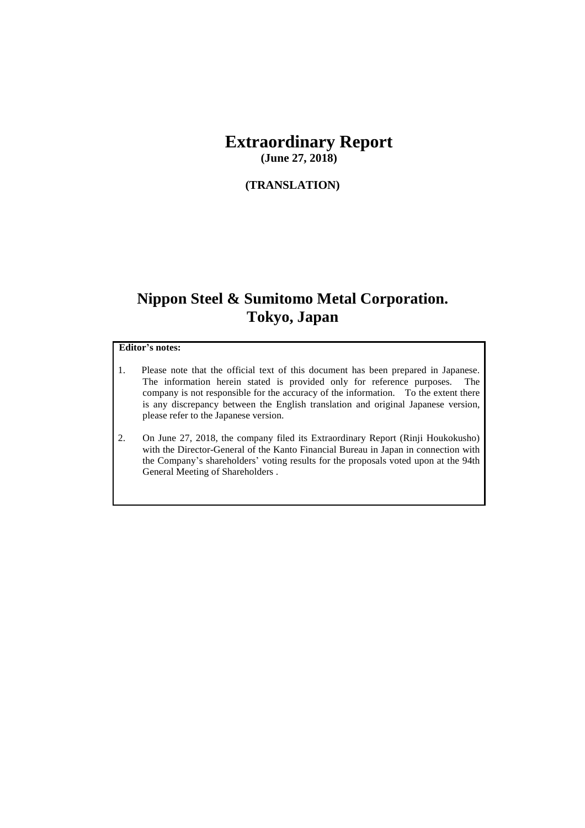# **Extraordinary Report**

**(June 27, 2018)**

#### **(TRANSLATION)**

## **Nippon Steel & Sumitomo Metal Corporation. Tokyo, Japan**

#### **Editor's notes:**

- 1. Please note that the official text of this document has been prepared in Japanese. The information herein stated is provided only for reference purposes. The company is not responsible for the accuracy of the information. To the extent there is any discrepancy between the English translation and original Japanese version, please refer to the Japanese version.
- 2. On June 27, 2018, the company filed its Extraordinary Report (Rinji Houkokusho) with the Director-General of the Kanto Financial Bureau in Japan in connection with the Company's shareholders' voting results for the proposals voted upon at the 94th General Meeting of Shareholders .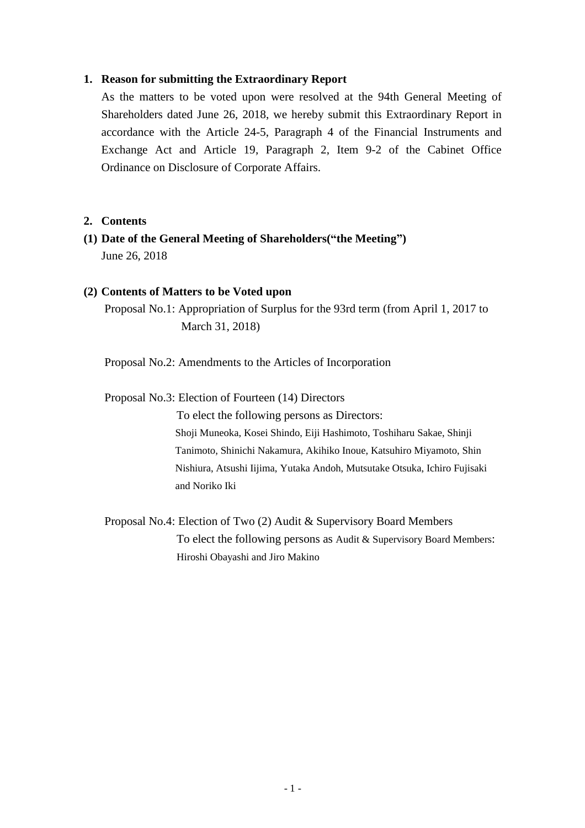#### **1. Reason for submitting the Extraordinary Report**

As the matters to be voted upon were resolved at the 94th General Meeting of Shareholders dated June 26, 2018, we hereby submit this Extraordinary Report in accordance with the Article 24-5, Paragraph 4 of the Financial Instruments and Exchange Act and Article 19, Paragraph 2, Item 9-2 of the Cabinet Office Ordinance on Disclosure of Corporate Affairs.

#### **2. Contents**

**(1) Date of the General Meeting of Shareholders("the Meeting")**  June 26, 2018

#### **(2) Contents of Matters to be Voted upon**

Proposal No.1: Appropriation of Surplus for the 93rd term (from April 1, 2017 to March 31, 2018)

Proposal No.2: Amendments to the Articles of Incorporation

Proposal No.3: Election of Fourteen (14) Directors

To elect the following persons as Directors: Shoji Muneoka, Kosei Shindo, Eiji Hashimoto, Toshiharu Sakae, Shinji Tanimoto, Shinichi Nakamura, Akihiko Inoue, Katsuhiro Miyamoto, Shin Nishiura, Atsushi Iijima, Yutaka Andoh, Mutsutake Otsuka, Ichiro Fujisaki and Noriko Iki

Proposal No.4: Election of Two (2) Audit & Supervisory Board Members To elect the following persons as Audit & Supervisory Board Members: Hiroshi Obayashi and Jiro Makino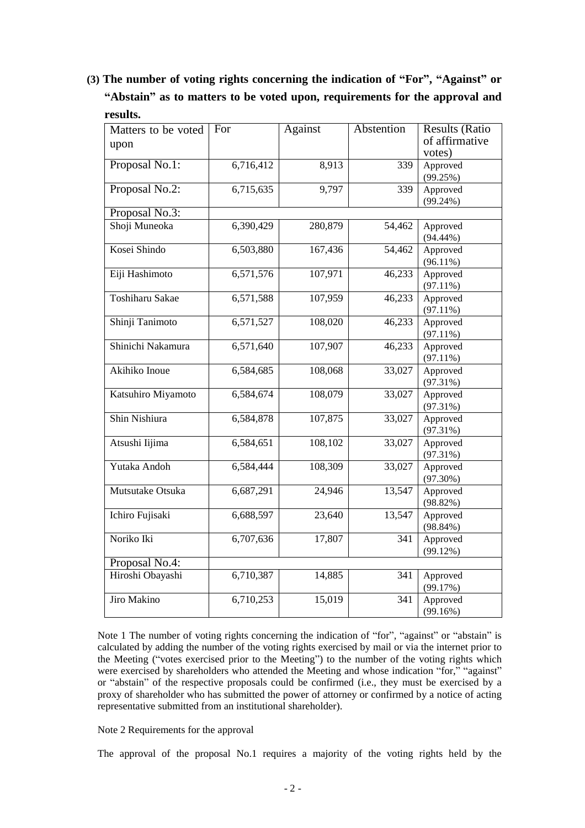**(3) The number of voting rights concerning the indication of "For", "Against" or "Abstain" as to matters to be voted upon, requirements for the approval and results.**

| Matters to be voted    | For       | <b>Against</b> | Abstention | <b>Results (Ratio</b> |
|------------------------|-----------|----------------|------------|-----------------------|
| upon                   |           |                |            | of affirmative        |
|                        |           |                |            | votes)                |
| Proposal No.1:         | 6,716,412 | 8,913          | 339        | Approved              |
|                        |           |                |            | (99.25%)              |
| Proposal No.2:         | 6,715,635 | 9,797          | 339        | Approved              |
|                        |           |                |            | $(99.24\%)$           |
| Proposal No.3:         |           |                |            |                       |
| Shoji Muneoka          | 6,390,429 | 280,879        | 54,462     | Approved              |
|                        |           |                |            | $(94.44\%)$           |
| Kosei Shindo           | 6,503,880 | 167,436        | 54,462     | Approved              |
|                        |           |                |            | $(96.11\%)$           |
| Eiji Hashimoto         | 6,571,576 | 107,971        | 46,233     | Approved              |
|                        |           |                |            | $(97.11\%)$           |
| <b>Toshiharu Sakae</b> | 6,571,588 | 107,959        | 46,233     | Approved              |
|                        |           |                |            | $(97.11\%)$           |
| Shinji Tanimoto        | 6,571,527 | 108,020        | 46,233     | Approved              |
|                        |           |                |            | $(97.11\%)$           |
| Shinichi Nakamura      | 6,571,640 | 107,907        | 46,233     | Approved              |
|                        |           |                |            | $(97.11\%)$           |
| Akihiko Inoue          | 6,584,685 | 108,068        | 33,027     | Approved              |
|                        |           |                |            | (97.31%)              |
| Katsuhiro Miyamoto     | 6,584,674 | 108,079        | 33,027     | Approved              |
|                        |           |                |            | (97.31%)              |
| Shin Nishiura          | 6,584,878 | 107,875        | 33,027     | Approved              |
|                        |           |                |            | (97.31%)              |
| Atsushi Iijima         | 6,584,651 | 108,102        | 33,027     | Approved              |
|                        |           |                |            | (97.31%)              |
| Yutaka Andoh           | 6,584,444 | 108,309        | 33,027     | Approved              |
|                        |           |                |            | $(97.30\%)$           |
| Mutsutake Otsuka       | 6,687,291 | 24,946         | 13,547     | Approved              |
|                        |           |                |            | (98.82%)              |
| Ichiro Fujisaki        | 6,688,597 | 23,640         | 13,547     | Approved              |
|                        |           |                |            | $(98.84\%)$           |
| Noriko Iki             | 6,707,636 | 17,807         | 341        | Approved              |
|                        |           |                |            | (99.12%)              |
| Proposal No.4:         |           |                |            |                       |
| Hiroshi Obayashi       | 6,710,387 | 14,885         | 341        | Approved              |
|                        |           |                |            | (99.17%)              |
| Jiro Makino            | 6,710,253 | 15,019         | 341        | Approved              |
|                        |           |                |            | (99.16%)              |

Note 1 The number of voting rights concerning the indication of "for", "against" or "abstain" is calculated by adding the number of the voting rights exercised by mail or via the internet prior to the Meeting ("votes exercised prior to the Meeting") to the number of the voting rights which were exercised by shareholders who attended the Meeting and whose indication "for," "against" or "abstain" of the respective proposals could be confirmed (i.e., they must be exercised by a proxy of shareholder who has submitted the power of attorney or confirmed by a notice of acting representative submitted from an institutional shareholder).

Note 2 Requirements for the approval

The approval of the proposal No.1 requires a majority of the voting rights held by the